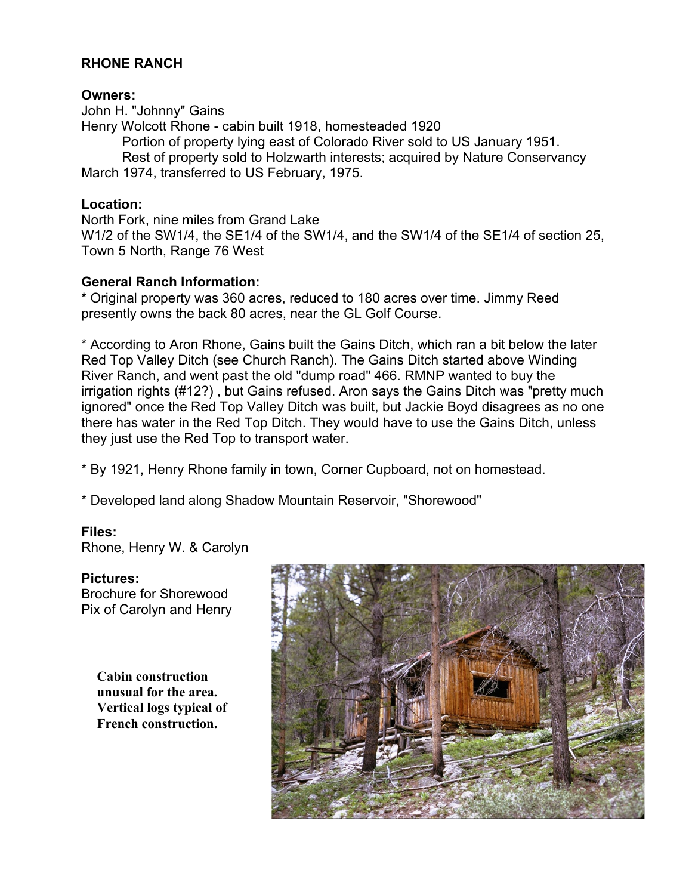# **RHONE RANCH**

#### **Owners:**

John H. "Johnny" Gains Henry Wolcott Rhone - cabin built 1918, homesteaded 1920 Portion of property lying east of Colorado River sold to US January 1951. Rest of property sold to Holzwarth interests; acquired by Nature Conservancy March 1974, transferred to US February, 1975.

# **Location:**

North Fork, nine miles from Grand Lake W1/2 of the SW1/4, the SE1/4 of the SW1/4, and the SW1/4 of the SE1/4 of section 25, Town 5 North, Range 76 West

### **General Ranch Information:**

\* Original property was 360 acres, reduced to 180 acres over time. Jimmy Reed presently owns the back 80 acres, near the GL Golf Course.

\* According to Aron Rhone, Gains built the Gains Ditch, which ran a bit below the later Red Top Valley Ditch (see Church Ranch). The Gains Ditch started above Winding River Ranch, and went past the old "dump road" 466. RMNP wanted to buy the irrigation rights (#12?) , but Gains refused. Aron says the Gains Ditch was "pretty much ignored" once the Red Top Valley Ditch was built, but Jackie Boyd disagrees as no one there has water in the Red Top Ditch. They would have to use the Gains Ditch, unless they just use the Red Top to transport water.

\* By 1921, Henry Rhone family in town, Corner Cupboard, not on homestead.

\* Developed land along Shadow Mountain Reservoir, "Shorewood"

### **Files:**

Rhone, Henry W. & Carolyn

**Pictures:** Brochure for Shorewood Pix of Carolyn and Henry

> **Cabin construction unusual for the area. Vertical logs typical of French construction.**

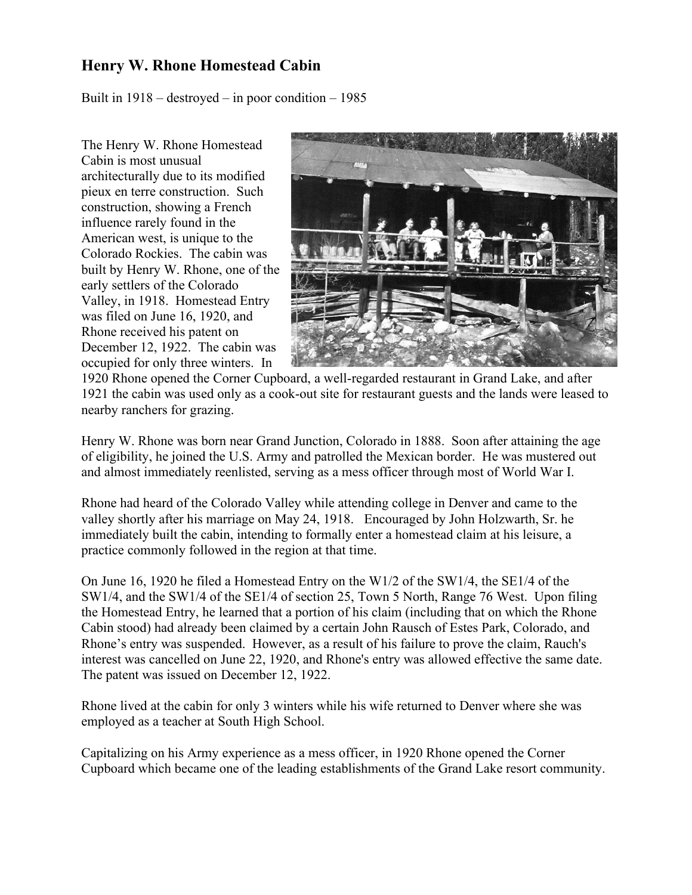# **Henry W. Rhone Homestead Cabin**

Built in 1918 – destroyed – in poor condition – 1985

The Henry W. Rhone Homestead Cabin is most unusual architecturally due to its modified pieux en terre construction. Such construction, showing a French influence rarely found in the American west, is unique to the Colorado Rockies. The cabin was built by Henry W. Rhone, one of the early settlers of the Colorado Valley, in 1918. Homestead Entry was filed on June 16, 1920, and Rhone received his patent on December 12, 1922. The cabin was occupied for only three winters. In



1920 Rhone opened the Corner Cupboard, a well-regarded restaurant in Grand Lake, and after 1921 the cabin was used only as a cook-out site for restaurant guests and the lands were leased to nearby ranchers for grazing.

Henry W. Rhone was born near Grand Junction, Colorado in 1888. Soon after attaining the age of eligibility, he joined the U.S. Army and patrolled the Mexican border. He was mustered out and almost immediately reenlisted, serving as a mess officer through most of World War I.

Rhone had heard of the Colorado Valley while attending college in Denver and came to the valley shortly after his marriage on May 24, 1918. Encouraged by John Holzwarth, Sr. he immediately built the cabin, intending to formally enter a homestead claim at his leisure, a practice commonly followed in the region at that time.

On June 16, 1920 he filed a Homestead Entry on the W1/2 of the SW1/4, the SE1/4 of the SW1/4, and the SW1/4 of the SE1/4 of section 25, Town 5 North, Range 76 West. Upon filing the Homestead Entry, he learned that a portion of his claim (including that on which the Rhone Cabin stood) had already been claimed by a certain John Rausch of Estes Park, Colorado, and Rhone's entry was suspended. However, as a result of his failure to prove the claim, Rauch's interest was cancelled on June 22, 1920, and Rhone's entry was allowed effective the same date. The patent was issued on December 12, 1922.

Rhone lived at the cabin for only 3 winters while his wife returned to Denver where she was employed as a teacher at South High School.

Capitalizing on his Army experience as a mess officer, in 1920 Rhone opened the Corner Cupboard which became one of the leading establishments of the Grand Lake resort community.